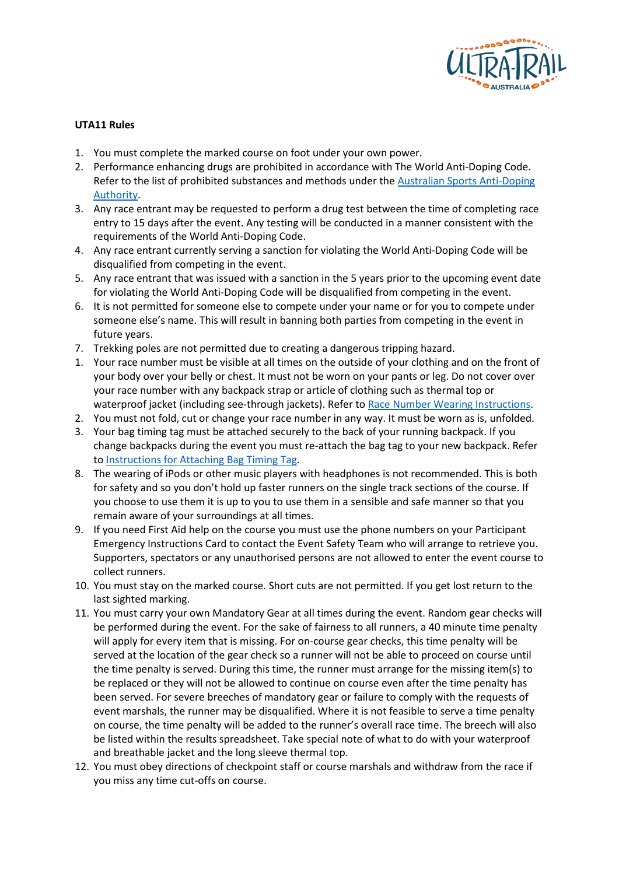

## **UTA11 Rules**

- 1. You must complete the marked course on foot under your own power.
- 2. Performance enhancing drugs are prohibited in accordance with The World Anti-Doping Code. Refer to the list of prohibited substances and methods under the [Australian Sports Anti-Doping](https://www.asada.gov.au/substances/prohibited-substances-and-methods)  [Authority.](https://www.asada.gov.au/substances/prohibited-substances-and-methods)
- 3. Any race entrant may be requested to perform a drug test between the time of completing race entry to 15 days after the event. Any testing will be conducted in a manner consistent with the requirements of the World Anti-Doping Code.
- 4. Any race entrant currently serving a sanction for violating the World Anti-Doping Code will be disqualified from competing in the event.
- 5. Any race entrant that was issued with a sanction in the 5 years prior to the upcoming event date for violating the World Anti-Doping Code will be disqualified from competing in the event.
- 6. It is not permitted for someone else to compete under your name or for you to compete under someone else's name. This will result in banning both parties from competing in the event in future years.
- 7. Trekking poles are not permitted due to creating a dangerous tripping hazard.
- 1. Your race number must be visible at all times on the outside of your clothing and on the front of your body over your belly or chest. It must not be worn on your pants or leg. Do not cover over your race number with any backpack strap or article of clothing such as thermal top or waterproof jacket (including see-through jackets). Refer to Race Number Wearing Instructions.
- 2. You must not fold, cut or change your race number in any way. It must be worn as is, unfolded.
- 3. Your bag timing tag must be attached securely to the back of your running backpack. If you change backpacks during the event you must re-attach the bag tag to your new backpack. Refer to Instructions for Attaching Bag Timing Tag.
- 8. The wearing of iPods or other music players with headphones is not recommended. This is both for safety and so you don't hold up faster runners on the single track sections of the course. If you choose to use them it is up to you to use them in a sensible and safe manner so that you remain aware of your surroundings at all times.
- 9. If you need First Aid help on the course you must use the phone numbers on your Participant Emergency Instructions Card to contact the Event Safety Team who will arrange to retrieve you. Supporters, spectators or any unauthorised persons are not allowed to enter the event course to collect runners.
- 10. You must stay on the marked course. Short cuts are not permitted. If you get lost return to the last sighted marking.
- 11. You must carry your own Mandatory Gear at all times during the event. Random gear checks will be performed during the event. For the sake of fairness to all runners, a 40 minute time penalty will apply for every item that is missing. For on-course gear checks, this time penalty will be served at the location of the gear check so a runner will not be able to proceed on course until the time penalty is served. During this time, the runner must arrange for the missing item(s) to be replaced or they will not be allowed to continue on course even after the time penalty has been served. For severe breeches of mandatory gear or failure to comply with the requests of event marshals, the runner may be disqualified. Where it is not feasible to serve a time penalty on course, the time penalty will be added to the runner's overall race time. The breech will also be listed within the results spreadsheet. Take special note of what to do with your waterproof and breathable jacket and the long sleeve thermal top.
- 12. You must obey directions of checkpoint staff or course marshals and withdraw from the race if you miss any time cut-offs on course.